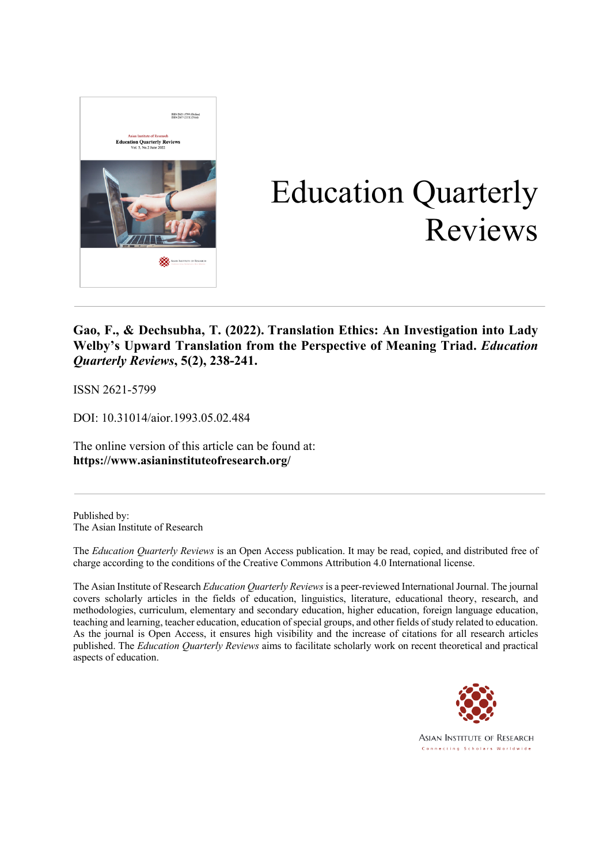

# Education Quarterly Reviews

#### **Gao, F., & Dechsubha, T. (2022). Translation Ethics: An Investigation into Lady Welby's Upward Translation from the Perspective of Meaning Triad.** *Education Quarterly Reviews***, 5(2), 238-241.**

ISSN 2621-5799

DOI: 10.31014/aior.1993.05.02.484

The online version of this article can be found at: **https://www.asianinstituteofresearch.org/**

Published by: The Asian Institute of Research

The *Education Quarterly Reviews* is an Open Access publication. It may be read, copied, and distributed free of charge according to the conditions of the Creative Commons Attribution 4.0 International license.

The Asian Institute of Research *Education Quarterly Reviews* is a peer-reviewed International Journal. The journal covers scholarly articles in the fields of education, linguistics, literature, educational theory, research, and methodologies, curriculum, elementary and secondary education, higher education, foreign language education, teaching and learning, teacher education, education of special groups, and other fields of study related to education. As the journal is Open Access, it ensures high visibility and the increase of citations for all research articles published. The *Education Quarterly Reviews* aims to facilitate scholarly work on recent theoretical and practical aspects of education.



**ASIAN INSTITUTE OF RESEARCH** Connecting Scholars Worldwide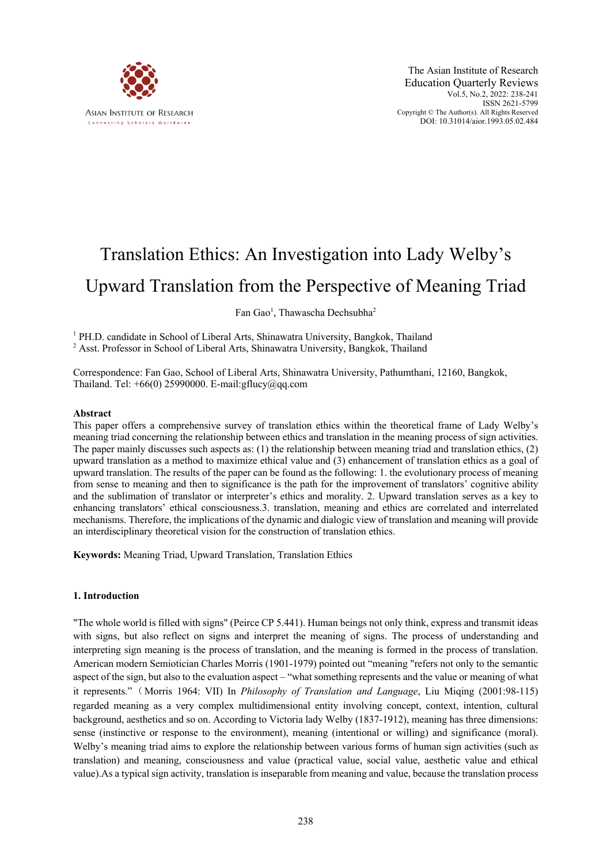

## Translation Ethics: An Investigation into Lady Welby's

### Upward Translation from the Perspective of Meaning Triad

Fan Gao<sup>1</sup>, Thawascha Dechsubha<sup>2</sup>

<sup>1</sup> PH.D. candidate in School of Liberal Arts, Shinawatra University, Bangkok, Thailand <sup>2</sup> Asst. Professor in School of Liberal Arts, Shinawatra University, Bangkok, Thailand

Correspondence: Fan Gao, School of Liberal Arts, Shinawatra University, Pathumthani, 12160, Bangkok, Thailand. Tel:  $+66(0)$  25990000. E-mail:gflucy@qq.com

#### **Abstract**

This paper offers a comprehensive survey of translation ethics within the theoretical frame of Lady Welby's meaning triad concerning the relationship between ethics and translation in the meaning process of sign activities. The paper mainly discusses such aspects as: (1) the relationship between meaning triad and translation ethics, (2) upward translation as a method to maximize ethical value and (3) enhancement of translation ethics as a goal of upward translation. The results of the paper can be found as the following: 1. the evolutionary process of meaning from sense to meaning and then to significance is the path for the improvement of translators' cognitive ability and the sublimation of translator or interpreter's ethics and morality. 2. Upward translation serves as a key to enhancing translators' ethical consciousness.3. translation, meaning and ethics are correlated and interrelated mechanisms. Therefore, the implications of the dynamic and dialogic view of translation and meaning will provide an interdisciplinary theoretical vision for the construction of translation ethics.

**Keywords:** Meaning Triad, Upward Translation, Translation Ethics

#### **1. Introduction**

"The whole world is filled with signs" (Peirce CP 5.441). Human beings not only think, express and transmit ideas with signs, but also reflect on signs and interpret the meaning of signs. The process of understanding and interpreting sign meaning is the process of translation, and the meaning is formed in the process of translation. American modern Semiotician Charles Morris (1901-1979) pointed out "meaning "refers not only to the semantic aspect of the sign, but also to the evaluation aspect – "what something represents and the value or meaning of what it represents."(Morris 1964: VII) In *Philosophy of Translation and Language*, Liu Miqing (2001:98-115) regarded meaning as a very complex multidimensional entity involving concept, context, intention, cultural background, aesthetics and so on. According to Victoria lady Welby (1837-1912), meaning has three dimensions: sense (instinctive or response to the environment), meaning (intentional or willing) and significance (moral). Welby's meaning triad aims to explore the relationship between various forms of human sign activities (such as translation) and meaning, consciousness and value (practical value, social value, aesthetic value and ethical value).As a typical sign activity, translation is inseparable from meaning and value, because the translation process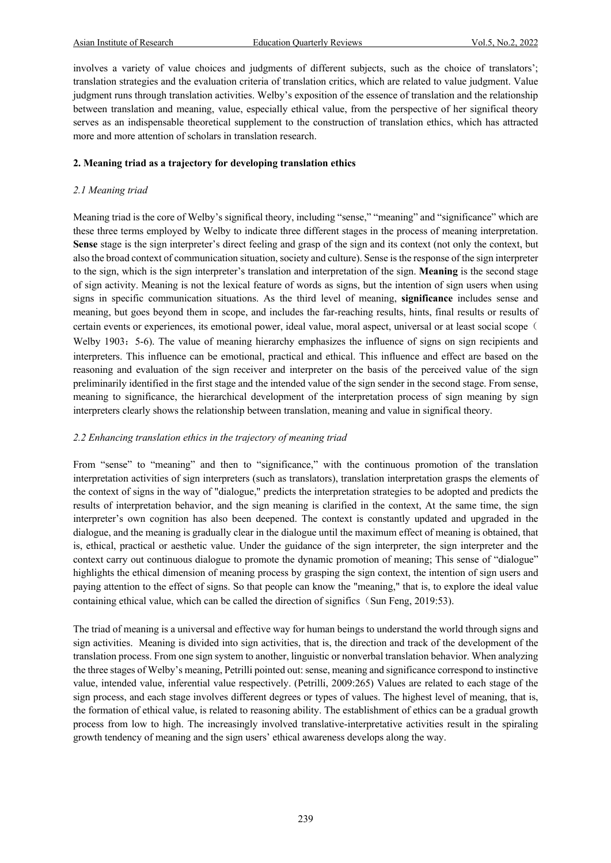involves a variety of value choices and judgments of different subjects, such as the choice of translators'; translation strategies and the evaluation criteria of translation critics, which are related to value judgment. Value judgment runs through translation activities. Welby's exposition of the essence of translation and the relationship between translation and meaning, value, especially ethical value, from the perspective of her significal theory serves as an indispensable theoretical supplement to the construction of translation ethics, which has attracted more and more attention of scholars in translation research.

#### **2. Meaning triad as a trajectory for developing translation ethics**

#### *2.1 Meaning triad*

Meaning triad is the core of Welby's significal theory, including "sense," "meaning" and "significance" which are these three terms employed by Welby to indicate three different stages in the process of meaning interpretation. **Sense** stage is the sign interpreter's direct feeling and grasp of the sign and its context (not only the context, but also the broad context of communication situation, society and culture). Sense is the response of the sign interpreter to the sign, which is the sign interpreter's translation and interpretation of the sign. **Meaning** is the second stage of sign activity. Meaning is not the lexical feature of words as signs, but the intention of sign users when using signs in specific communication situations. As the third level of meaning, **significance** includes sense and meaning, but goes beyond them in scope, and includes the far-reaching results, hints, final results or results of certain events or experiences, its emotional power, ideal value, moral aspect, universal or at least social scope ( Welby 1903: 5-6). The value of meaning hierarchy emphasizes the influence of signs on sign recipients and interpreters. This influence can be emotional, practical and ethical. This influence and effect are based on the reasoning and evaluation of the sign receiver and interpreter on the basis of the perceived value of the sign preliminarily identified in the first stage and the intended value of the sign sender in the second stage. From sense, meaning to significance, the hierarchical development of the interpretation process of sign meaning by sign interpreters clearly shows the relationship between translation, meaning and value in significal theory.

#### *2.2 Enhancing translation ethics in the trajectory of meaning triad*

From "sense" to "meaning" and then to "significance," with the continuous promotion of the translation interpretation activities of sign interpreters (such as translators), translation interpretation grasps the elements of the context of signs in the way of "dialogue," predicts the interpretation strategies to be adopted and predicts the results of interpretation behavior, and the sign meaning is clarified in the context, At the same time, the sign interpreter's own cognition has also been deepened. The context is constantly updated and upgraded in the dialogue, and the meaning is gradually clear in the dialogue until the maximum effect of meaning is obtained, that is, ethical, practical or aesthetic value. Under the guidance of the sign interpreter, the sign interpreter and the context carry out continuous dialogue to promote the dynamic promotion of meaning; This sense of "dialogue" highlights the ethical dimension of meaning process by grasping the sign context, the intention of sign users and paying attention to the effect of signs. So that people can know the "meaning," that is, to explore the ideal value containing ethical value, which can be called the direction of significs (Sun Feng, 2019:53).

The triad of meaning is a universal and effective way for human beings to understand the world through signs and sign activities. Meaning is divided into sign activities, that is, the direction and track of the development of the translation process. From one sign system to another, linguistic or nonverbal translation behavior. When analyzing the three stages of Welby's meaning, Petrilli pointed out: sense, meaning and significance correspond to instinctive value, intended value, inferential value respectively. (Petrilli, 2009:265) Values are related to each stage of the sign process, and each stage involves different degrees or types of values. The highest level of meaning, that is, the formation of ethical value, is related to reasoning ability. The establishment of ethics can be a gradual growth process from low to high. The increasingly involved translative-interpretative activities result in the spiraling growth tendency of meaning and the sign users' ethical awareness develops along the way.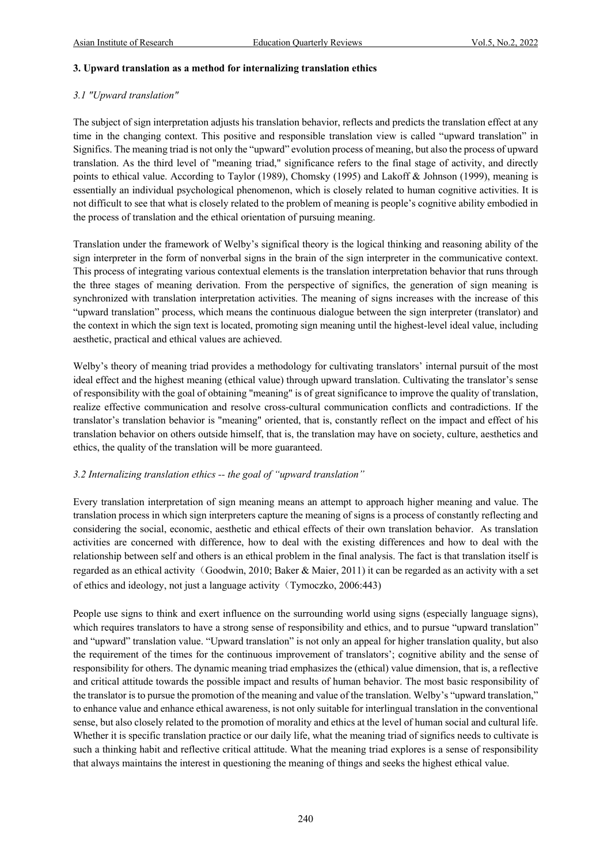#### **3. Upward translation as a method for internalizing translation ethics**

#### *3.1 "Upward translation"*

The subject of sign interpretation adjusts his translation behavior, reflects and predicts the translation effect at any time in the changing context. This positive and responsible translation view is called "upward translation" in Significs. The meaning triad is not only the "upward" evolution process of meaning, but also the process of upward translation. As the third level of "meaning triad," significance refers to the final stage of activity, and directly points to ethical value. According to Taylor (1989), Chomsky (1995) and Lakoff & Johnson (1999), meaning is essentially an individual psychological phenomenon, which is closely related to human cognitive activities. It is not difficult to see that what is closely related to the problem of meaning is people's cognitive ability embodied in the process of translation and the ethical orientation of pursuing meaning.

Translation under the framework of Welby's significal theory is the logical thinking and reasoning ability of the sign interpreter in the form of nonverbal signs in the brain of the sign interpreter in the communicative context. This process of integrating various contextual elements is the translation interpretation behavior that runs through the three stages of meaning derivation. From the perspective of significs, the generation of sign meaning is synchronized with translation interpretation activities. The meaning of signs increases with the increase of this "upward translation" process, which means the continuous dialogue between the sign interpreter (translator) and the context in which the sign text is located, promoting sign meaning until the highest-level ideal value, including aesthetic, practical and ethical values are achieved.

Welby's theory of meaning triad provides a methodology for cultivating translators' internal pursuit of the most ideal effect and the highest meaning (ethical value) through upward translation. Cultivating the translator's sense of responsibility with the goal of obtaining "meaning" is of great significance to improve the quality of translation, realize effective communication and resolve cross-cultural communication conflicts and contradictions. If the translator's translation behavior is "meaning" oriented, that is, constantly reflect on the impact and effect of his translation behavior on others outside himself, that is, the translation may have on society, culture, aesthetics and ethics, the quality of the translation will be more guaranteed.

#### *3.2 Internalizing translation ethics -- the goal of "upward translation"*

Every translation interpretation of sign meaning means an attempt to approach higher meaning and value. The translation process in which sign interpreters capture the meaning of signs is a process of constantly reflecting and considering the social, economic, aesthetic and ethical effects of their own translation behavior. As translation activities are concerned with difference, how to deal with the existing differences and how to deal with the relationship between self and others is an ethical problem in the final analysis. The fact is that translation itself is regarded as an ethical activity (Goodwin, 2010; Baker & Maier, 2011) it can be regarded as an activity with a set of ethics and ideology, not just a language activity (Tymoczko, 2006:443)

People use signs to think and exert influence on the surrounding world using signs (especially language signs), which requires translators to have a strong sense of responsibility and ethics, and to pursue "upward translation" and "upward" translation value. "Upward translation" is not only an appeal for higher translation quality, but also the requirement of the times for the continuous improvement of translators'; cognitive ability and the sense of responsibility for others. The dynamic meaning triad emphasizes the (ethical) value dimension, that is, a reflective and critical attitude towards the possible impact and results of human behavior. The most basic responsibility of the translator is to pursue the promotion of the meaning and value of the translation. Welby's "upward translation," to enhance value and enhance ethical awareness, is not only suitable for interlingual translation in the conventional sense, but also closely related to the promotion of morality and ethics at the level of human social and cultural life. Whether it is specific translation practice or our daily life, what the meaning triad of significs needs to cultivate is such a thinking habit and reflective critical attitude. What the meaning triad explores is a sense of responsibility that always maintains the interest in questioning the meaning of things and seeks the highest ethical value.